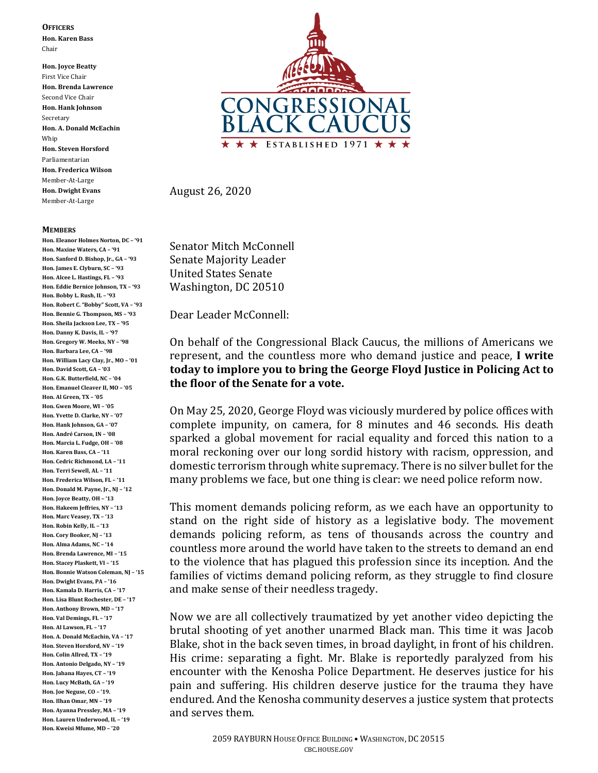**OFFICERS**

**Hon. Karen Bass** Chair

**Hon. Joyce Beatty** First Vice Chair **Hon. Brenda Lawrence** Second Vice Chair **Hon. Hank Johnson** Secretary **Hon. A. Donald McEachin** Whip **Hon. Steven Horsford** Parliamentarian **Hon. Frederica Wilson** Member-At-Large **Hon. Dwight Evans** Member-At-Large

## **MEMBERS**

**Hon. Eleanor Holmes Norton, DC – '91 Hon. Maxine Waters, CA – '91 Hon. Sanford D. Bishop, Jr., GA – '93 Hon. James E. Clyburn, SC – '93 Hon. Alcee L. Hastings, FL – '93 Hon. Eddie Bernice Johnson, TX – '93 Hon. Bobby L. Rush, IL – '93 Hon. Robert C. "Bobby" Scott, VA – '93 Hon. Bennie G. Thompson, MS – '93 Hon. Sheila Jackson Lee, TX – '95 Hon. Danny K. Davis, IL – '97 Hon. Gregory W. Meeks, NY – '98 Hon. Barbara Lee, CA – '98 Hon. William Lacy Clay, Jr., MO – '01 Hon. David Scott, GA – '03 Hon. G.K. Butterfield, NC – '04 Hon. Emanuel Cleaver II, MO – '05 Hon. Al Green, TX – '05 Hon. Gwen Moore, WI – '05 Hon. Yvette D. Clarke, NY – '07 Hon. Hank Johnson, GA – '07 Hon. André Carson, IN – '08 Hon. Marcia L. Fudge, OH – '08 Hon. Karen Bass, CA – '11 Hon. Cedric Richmond, LA – '11 Hon. Terri Sewell, AL – '11 Hon. Frederica Wilson, FL – '11 Hon. Donald M. Payne, Jr., NJ – '12 Hon. Joyce Beatty, OH – '13 Hon. Hakeem Jeffries, NY – '13 Hon. Marc Veasey, TX – '13 Hon. Robin Kelly, IL – '13 Hon. Cory Booker, NJ – '13 Hon. Alma Adams, NC – '14 Hon. Brenda Lawrence, MI – '15 Hon. Stacey Plaskett, VI – '15 Hon. Bonnie Watson Coleman, NJ – '15 Hon. Dwight Evans, PA – '16 Hon. Kamala D. Harris, CA – '17 Hon. Lisa Blunt Rochester, DE – '17 Hon. Anthony Brown, MD – '17 Hon. Val Demings, FL – '17 Hon. Al Lawson, FL – '17 Hon. A. Donald McEachin, VA – '17 Hon. Steven Horsford, NV – '19 Hon. Colin Allred, TX – '19 Hon. Antonio Delgado, NY – '19 Hon. Jahana Hayes, CT – '19 Hon. Lucy McBath, GA – '19 Hon. Joe Neguse, CO – '19. Hon. Ilhan Omar, MN – '19 Hon. Ayanna Pressley, MA – '19 Hon. Lauren Underwood, IL – '19 Hon. Kweisi Mfume, MD – '20**



August 26, 2020

Senator Mitch McConnell Senate Majority Leader United States Senate Washington, DC 20510

Dear Leader McConnell:

On behalf of the Congressional Black Caucus, the millions of Americans we represent, and the countless more who demand justice and peace, **I write today to implore you to bring the George Floyd Justice in Policing Act to the floor of the Senate for a vote.**

On May 25, 2020, George Floyd was viciously murdered by police offices with complete impunity, on camera, for 8 minutes and 46 seconds. His death sparked a global movement for racial equality and forced this nation to a moral reckoning over our long sordid history with racism, oppression, and domestic terrorism through white supremacy. There is no silver bullet for the many problems we face, but one thing is clear: we need police reform now.

This moment demands policing reform, as we each have an opportunity to stand on the right side of history as a legislative body. The movement demands policing reform, as tens of thousands across the country and countless more around the world have taken to the streets to demand an end to the violence that has plagued this profession since its inception. And the families of victims demand policing reform, as they struggle to find closure and make sense of their needless tragedy.

Now we are all collectively traumatized by yet another video depicting the brutal shooting of yet another unarmed Black man. This time it was Jacob Blake, shot in the back seven times, in broad daylight, in front of his children. His crime: separating a fight. Mr. Blake is reportedly paralyzed from his encounter with the Kenosha Police Department. He deserves justice for his pain and suffering. His children deserve justice for the trauma they have endured. And the Kenosha community deserves a justice system that protects and serves them.